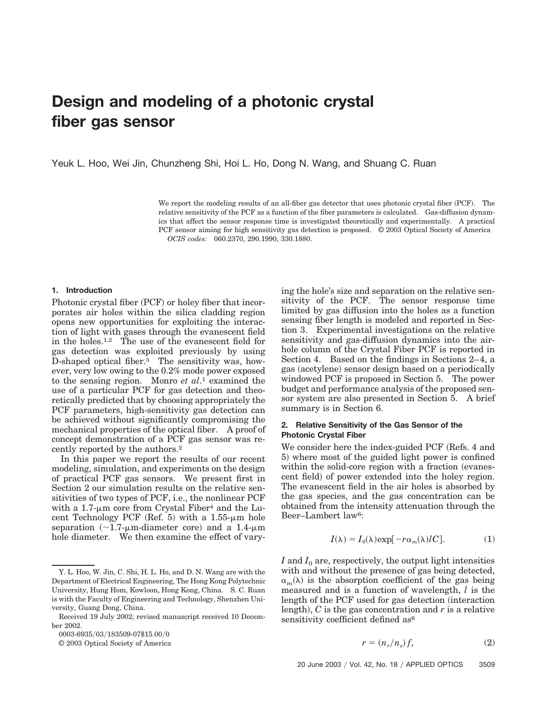# **Design and modeling of a photonic crystal fiber gas sensor**

Yeuk L. Hoo, Wei Jin, Chunzheng Shi, Hoi L. Ho, Dong N. Wang, and Shuang C. Ruan

We report the modeling results of an all-fiber gas detector that uses photonic crystal fiber (PCF). The relative sensitivity of the PCF as a function of the fiber parameters is calculated. Gas-diffusion dynamics that affect the sensor response time is investigated theoretically and experimentally. A practical PCF sensor aiming for high sensitivity gas detection is proposed. © 2003 Optical Society of America *OCIS codes:* 060.2370, 290.1990, 330.1880.

## **1. Introduction**

Photonic crystal fiber (PCF) or holey fiber that incorporates air holes within the silica cladding region opens new opportunities for exploiting the interaction of light with gases through the evanescent field in the holes.1,2 The use of the evanescent field for gas detection was exploited previously by using D-shaped optical fiber. $3$  The sensitivity was, however, very low owing to the 0.2% mode power exposed to the sensing region. Monro *et al*.1 examined the use of a particular PCF for gas detection and theoretically predicted that by choosing appropriately the PCF parameters, high-sensitivity gas detection can be achieved without significantly compromising the mechanical properties of the optical fiber. A proof of concept demonstration of a PCF gas sensor was recently reported by the authors.2

In this paper we report the results of our recent modeling, simulation, and experiments on the design of practical PCF gas sensors. We present first in Section 2 our simulation results on the relative sensitivities of two types of PCF, i.e., the nonlinear PCF with a 1.7- $\mu$ m core from Crystal Fiber<sup>4</sup> and the Lucent Technology PCF (Ref. 5) with a  $1.55$ - $\mu$ m hole separation ( $\sim$ 1.7-µm-diameter core) and a 1.4-µm hole diameter. We then examine the effect of vary-

0003-6935/03/183509-07\$15.00/0

© 2003 Optical Society of America

ing the hole's size and separation on the relative sensitivity of the PCF. The sensor response time limited by gas diffusion into the holes as a function sensing fiber length is modeled and reported in Section 3. Experimental investigations on the relative sensitivity and gas-diffusion dynamics into the airhole column of the Crystal Fiber PCF is reported in Section 4. Based on the findings in Sections 2–4, a gas (acetylene) sensor design based on a periodically windowed PCF is proposed in Section 5. The power budget and performance analysis of the proposed sensor system are also presented in Section 5. A brief summary is in Section 6.

## **2. Relative Sensitivity of the Gas Sensor of the Photonic Crystal Fiber**

We consider here the index-guided PCF (Refs. 4 and 5) where most of the guided light power is confined within the solid-core region with a fraction (evanescent field) of power extended into the holey region. The evanescent field in the air holes is absorbed by the gas species, and the gas concentration can be obtained from the intensity attenuation through the Beer–Lambert law6:

$$
I(\lambda) = I_0(\lambda) \exp[-r\alpha_m(\lambda)lC].
$$
 (1)

 $I$  and  $I_0$  are, respectively, the output light intensities with and without the presence of gas being detected,  $\alpha_m(\lambda)$  is the absorption coefficient of the gas being measured and is a function of wavelength, *l* is the length of the PCF used for gas detection (interaction) length),  $C$  is the gas concentration and  $r$  is a relative sensitivity coefficient defined as<sup>6</sup>

$$
r = (n_r/n_e)f,\t\t(2)
$$

Y. L. Hoo, W. Jin, C. Shi, H. L. Ho, and D. N. Wang are with the Department of Electrical Engineering, The Hong Kong Polytechnic University, Hung Hom, Kowloon, Hong Kong, China. S. C. Ruan is with the Faculty of Engineering and Technology, Shenzhen University, Guang Dong, China.

Received 19 July 2002; revised manuscript received 10 December 2002.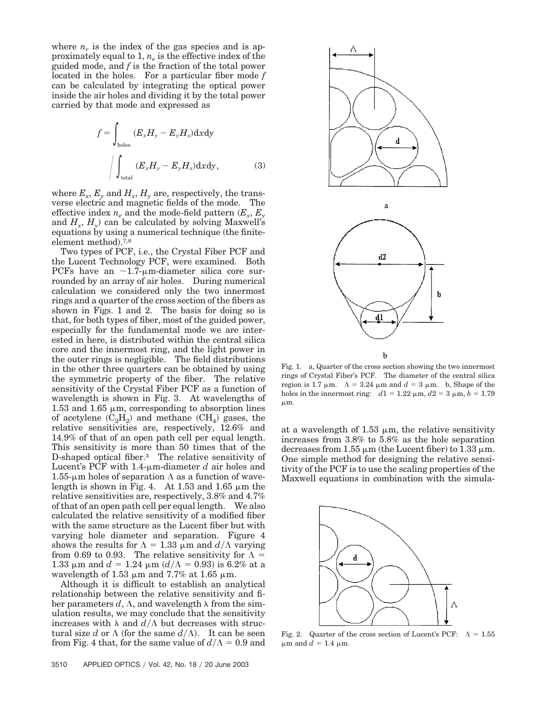where  $n_r$  is the index of the gas species and is approximately equal to  $1, n_e$  is the effective index of the guided mode, and *f* is the fraction of the total power located in the holes. For a particular fiber mode *f* can be calculated by integrating the optical power inside the air holes and dividing it by the total power carried by that mode and expressed as

$$
f = \int_{\text{holes}} (E_x H_y - E_y H_x) \, \mathrm{d}x \, \mathrm{d}y
$$
\n
$$
\int_{\text{total}} (E_x H_y - E_y H_x) \, \mathrm{d}x \, \mathrm{d}y,\tag{3}
$$

where  $E_x$ ,  $E_y$  and  $H_x$ ,  $H_y$  are, respectively, the transverse electric and magnetic fields of the mode. The effective index  $n_e$  and the mode-field pattern  $(E_x, E_y)$ and  $H_x$ ,  $H_y$ ) can be calculated by solving Maxwell's equations by using a numerical technique (the finiteelement method).<sup>7,8</sup>

Two types of PCF, i.e., the Crystal Fiber PCF and the Lucent Technology PCF, were examined. Both PCFs have an  $\sim$ 1.7-µm-diameter silica core surrounded by an array of air holes. During numerical calculation we considered only the two innermost rings and a quarter of the cross section of the fibers as shown in Figs. 1 and 2. The basis for doing so is that, for both types of fiber, most of the guided power, especially for the fundamental mode we are interested in here, is distributed within the central silica core and the innermost ring, and the light power in the outer rings is negligible. The field distributions in the other three quarters can be obtained by using the symmetric property of the fiber. The relative sensitivity of the Crystal Fiber PCF as a function of wavelength is shown in Fig. 3. At wavelengths of 1.53 and 1.65  $\mu$ m, corresponding to absorption lines of acetylene  $(C_2H_2)$  and methane  $(CH_4)$  gases, the relative sensitivities are, respectively, 12.6% and 14.9% of that of an open path cell per equal length. This sensitivity is more than 50 times that of the D-shaped optical fiber.3 The relative sensitivity of Lucent's PCF with 1.4- $\mu$ m-diameter *d* air holes and  $1.55$ -µm holes of separation  $\Lambda$  as a function of wavelength is shown in Fig. 4. At 1.53 and 1.65  $\mu$ m the relative sensitivities are, respectively, 3.8% and 4.7% of that of an open path cell per equal length. We also calculated the relative sensitivity of a modified fiber with the same structure as the Lucent fiber but with varying hole diameter and separation. Figure 4 shows the results for  $\Lambda = 1.33 \mu m$  and  $d/\Lambda$  varying from 0.69 to 0.93. The relative sensitivity for  $\Lambda =$  $1.33 \mu$ m and  $d = 1.24 \mu$ m ( $d/\Lambda = 0.93$ ) is 6.2% at a wavelength of 1.53  $\mu$ m and 7.7% at 1.65  $\mu$ m.

Although it is difficult to establish an analytical relationship between the relative sensitivity and fiber parameters d,  $\Lambda$ , and wavelength  $\lambda$  from the simulation results, we may conclude that the sensitivity increases with  $\lambda$  and  $d/\Lambda$  but decreases with structural size *d* or  $\Lambda$  (for the same  $d/\Lambda$ ). It can be seen from Fig. 4 that, for the same value of  $d/\Lambda = 0.9$  and



Fig. 1. a, Quarter of the cross section showing the two innermost rings of Crystal Fiber's PCF. The diameter of the central silica region is 1.7  $\mu$ m.  $\Lambda = 3.24 \mu$ m and  $d = 3 \mu$ m. b, Shape of the holes in the innermost ring:  $d1 = 1.22 \mu m$ ,  $d2 = 3 \mu m$ ,  $b = 1.79$  $\mu$ m.

þ

d

at a wavelength of 1.53  $\mu$ m, the relative sensitivity increases from 3.8% to 5.8% as the hole separation decreases from 1.55  $\mu$ m (the Lucent fiber) to 1.33  $\mu$ m. One simple method for designing the relative sensitivity of the PCF is to use the scaling properties of the Maxwell equations in combination with the simula-



Fig. 2. Quarter of the cross section of Lucent's PCF:  $\Lambda = 1.55$  $\mu$ m and  $d = 1.4 \mu$ m.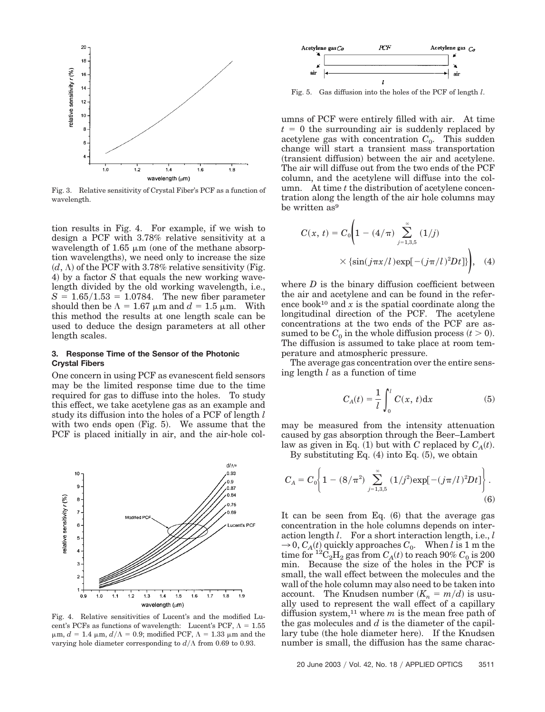

Fig. 3. Relative sensitivity of Crystal Fiber's PCF as a function of wavelength.

tion results in Fig. 4. For example, if we wish to design a PCF with 3.78% relative sensitivity at a wavelength of 1.65  $\mu$ m (one of the methane absorption wavelengths), we need only to increase the size  $(d, \Lambda)$  of the PCF with 3.78% relative sensitivity (Fig. 4) by a factor *S* that equals the new working wavelength divided by the old working wavelength, i.e.,  $S = 1.65/1.53 = 1.0784$ . The new fiber parameter should then be  $\Lambda = 1.67 \mu m$  and  $d = 1.5 \mu m$ . With this method the results at one length scale can be used to deduce the design parameters at all other length scales.

## **3. Response Time of the Sensor of the Photonic Crystal Fibers**

One concern in using PCF as evanescent field sensors may be the limited response time due to the time required for gas to diffuse into the holes. To study this effect, we take acetylene gas as an example and study its diffusion into the holes of a PCF of length *l* with two ends open  $(Fig. 5)$ . We assume that the PCF is placed initially in air, and the air-hole col-



Fig. 4. Relative sensitivities of Lucent's and the modified Lucent's PCFs as functions of wavelength: Lucent's PCF,  $\Lambda = 1.55$  $\mu$ m,  $d = 1.4 \mu$ m,  $d/\Lambda = 0.9$ ; modified PCF,  $\Lambda = 1.33 \mu$ m and the varying hole diameter corresponding to  $d/\Lambda$  from 0.69 to 0.93.



Fig. 5. Gas diffusion into the holes of the PCF of length *l*.

umns of PCF were entirely filled with air. At time  $t = 0$  the surrounding air is suddenly replaced by acetylene gas with concentration  $C_0$ . This sudden change will start a transient mass transportation (transient diffusion) between the air and acetylene. The air will diffuse out from the two ends of the PCF column, and the acetylene will diffuse into the column. At time *t* the distribution of acetylene concentration along the length of the air hole columns may be written as<sup>9</sup>

$$
C(x, t) = C_0 \left( 1 - (4/\pi) \sum_{j=1,3,5}^{\infty} (1/j) \times \left\{ \sin(j\pi x/l) \exp[-(j\pi/l)^2 Dt] \right\} \right), \quad (4)
$$

where  $D$  is the binary diffusion coefficient between the air and acetylene and can be found in the reference book<sup>10</sup> and  $x$  is the spatial coordinate along the longitudinal direction of the PCF. The acetylene concentrations at the two ends of the PCF are assumed to be  $C_0$  in the whole diffusion process  $(t > 0)$ . The diffusion is assumed to take place at room temperature and atmospheric pressure.

The average gas concentration over the entire sensing length *l* as a function of time

$$
C_A(t) = \frac{1}{l} \int_0^l C(x, t) \mathrm{d}x \tag{5}
$$

may be measured from the intensity attenuation caused by gas absorption through the Beer–Lambert law as given in Eq.  $(1)$  but with *C* replaced by  $C_A(t)$ .

By substituting Eq.  $(4)$  into Eq.  $(5)$ , we obtain

$$
C_A = C_0 \bigg\{ 1 - (8/\pi^2) \sum_{j=1,3,5}^{\infty} (1/j^2) \exp[-(j\pi/l)^2 Dt] \bigg\}.
$$
\n(6)

It can be seen from Eq.  $(6)$  that the average gas concentration in the hole columns depends on interaction length *l*. For a short interaction length, i.e., *l*  $\rightarrow$  0,  $C_A(t)$  quickly approaches  $C_0$ . When *l* is 1 m the time for  ${}^{12}C_2H_2$  gas from  $C_A(t)$  to reach 90%  $C_0$  is 200 min. Because the size of the holes in the PCF is small, the wall effect between the molecules and the wall of the hole column may also need to be taken into account. The Knudsen number  $(K_n = m/d)$  is usually used to represent the wall effect of a capillary diffusion system,<sup>11</sup> where  $m$  is the mean free path of the gas molecules and *d* is the diameter of the capillary tube (the hole diameter here). If the Knudsen number is small, the diffusion has the same charac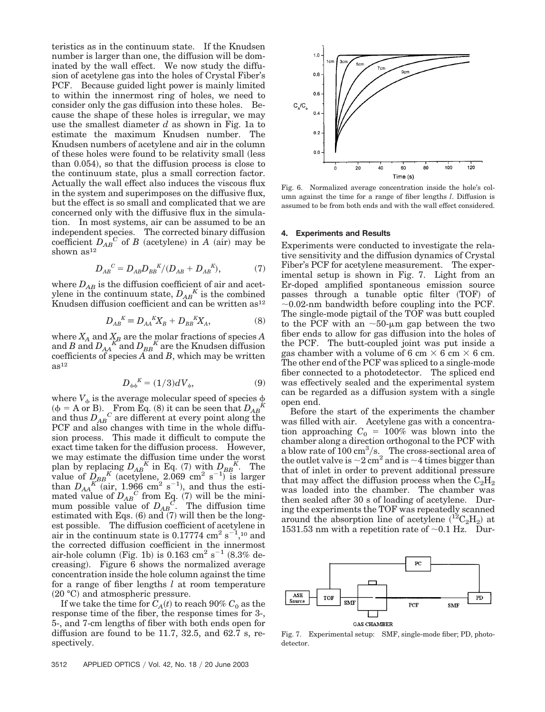teristics as in the continuum state. If the Knudsen number is larger than one, the diffusion will be dominated by the wall effect. We now study the diffusion of acetylene gas into the holes of Crystal Fiber's PCF. Because guided light power is mainly limited to within the innermost ring of holes, we need to consider only the gas diffusion into these holes. Because the shape of these holes is irregular, we may use the smallest diameter *d* as shown in Fig. 1a to estimate the maximum Knudsen number. The Knudsen numbers of acetylene and air in the column of these holes were found to be relativity small less than 0.054), so that the diffusion process is close to the continuum state, plus a small correction factor. Actually the wall effect also induces the viscous flux in the system and superimposes on the diffusive flux, but the effect is so small and complicated that we are concerned only with the diffusive flux in the simulation. In most systems, air can be assumed to be an independent species. The corrected binary diffusion coefficient  $D_{AB}^{\qquad c}$  of *B* (acetylene) in *A* (air) may be shown as<sup>12</sup>

$$
D_{AB}^{\quad C} = D_{AB} D_{BB}^{\quad K} / (D_{AB} + D_{AB}^{\quad K}),\tag{7}
$$

where  $D_{AB}$  is the diffusion coefficient of air and acetylene in the continuum state,  $D_{AB}^K$  is the combined Knudsen diffusion coefficient and can be written as<sup>12</sup>

$$
D_{AB}{}^K \equiv D_{AA}{}^K X_B + D_{BB}{}^K X_A,\tag{8}
$$

where  $X_A$  and  $X_B$  are the molar fractions of species  $A$ and *B* and  $D_{AA}^{K}$  and  $D_{BB}^{K}$  are the Knudsen diffusion coefficients of species *A* and *B*, which may be written  $as<sup>12</sup>$ 

$$
D_{\phi\phi}^{\quad K} = (1/3)dV_{\phi},\tag{9}
$$

where  $V_{\phi}$  is the average molecular speed of species  $\phi$  $(\phi = A \text{ or } B)$ . From Eq. (8) it can be seen that  $D_{AB}^K$ and thus  $D_{AB}^{'C}$  are different at every point along the PCF and also changes with time in the whole diffusion process. This made it difficult to compute the exact time taken for the diffusion process. However, we may estimate the diffusion time under the worst plan by replacing  $D_{AB}^K$  in Eq. (7) with  $D_{BB}^K$ . The value of  $\frac{D}{EBB}$ <sup>K</sup> (acetylene, 2.069 cm<sup>2</sup> s<sup>-1)</sup> is larger than  $D_{AA}^{K}$ <sup>*K*</sup><sup>2</sup> (air, 1.966 cm<sup>2</sup> s<sup>-1</sup>), and thus the estimated value of  $D_{AB}^C$  from Eq. (7) will be the minimum possible value of  $D_{AB}^C$ . The diffusion time estimated with Eqs.  $(6)$  and  $(7)$  will then be the longest possible. The diffusion coefficient of acetylene in air in the continuum state is  $0.17774 \text{ cm}^2 \text{ s}^{-1}$ ,<sup>10</sup> and the corrected diffusion coefficient in the innermost air-hole column (Fig. 1b) is  $0.163$  cm<sup>2</sup> s<sup>-1</sup> (8.3% decreasing). Figure 6 shows the normalized average concentration inside the hole column against the time for a range of fiber lengths *l* at room temperature (20 °C) and atmospheric pressure.

If we take the time for  $C_A(t)$  to reach  $90\%$   $C_0$  as the response time of the fiber, the response times for 3-, 5-, and 7-cm lengths of fiber with both ends open for diffusion are found to be 11.7, 32.5, and 62.7 s, respectively.



Fig. 6. Normalized average concentration inside the hole's column against the time for a range of fiber lengths *l*. Diffusion is assumed to be from both ends and with the wall effect considered.

#### **4. Experiments and Results**

Experiments were conducted to investigate the relative sensitivity and the diffusion dynamics of Crystal Fiber's PCF for acetylene measurement. The experimental setup is shown in Fig. 7. Light from an Er-doped amplified spontaneous emission source passes through a tunable optic filter (TOF) of  $\sim 0.02$ -nm bandwidth before coupling into the PCF. The single-mode pigtail of the TOF was butt coupled to the PCF with an  $\sim$ 50-µm gap between the two fiber ends to allow for gas diffusion into the holes of the PCF. The butt-coupled joint was put inside a gas chamber with a volume of 6 cm  $\times$  6 cm  $\times$  6 cm. The other end of the PCF was spliced to a single-mode fiber connected to a photodetector. The spliced end was effectively sealed and the experimental system can be regarded as a diffusion system with a single open end.

Before the start of the experiments the chamber was filled with air. Acetylene gas with a concentration approaching  $C_0 = 100\%$  was blown into the chamber along a direction orthogonal to the PCF with a blow rate of  $100 \text{ cm}^3/\text{s}$ . The cross-sectional area of the outlet valve is  $\sim$  2 cm<sup>2</sup> and is  $\sim$  4 times bigger than that of inlet in order to prevent additional pressure that may affect the diffusion process when the  $C_2H_2$ was loaded into the chamber. The chamber was then sealed after 30 s of loading of acetylene. During the experiments the TOF was repeatedly scanned around the absorption line of acetylene  $({}^{12}C_2H_2)$  at 1531.53 nm with a repetition rate of  $\sim 0.1$  Hz. Dur-



Fig. 7. Experimental setup: SMF, single-mode fiber; PD, photodetector.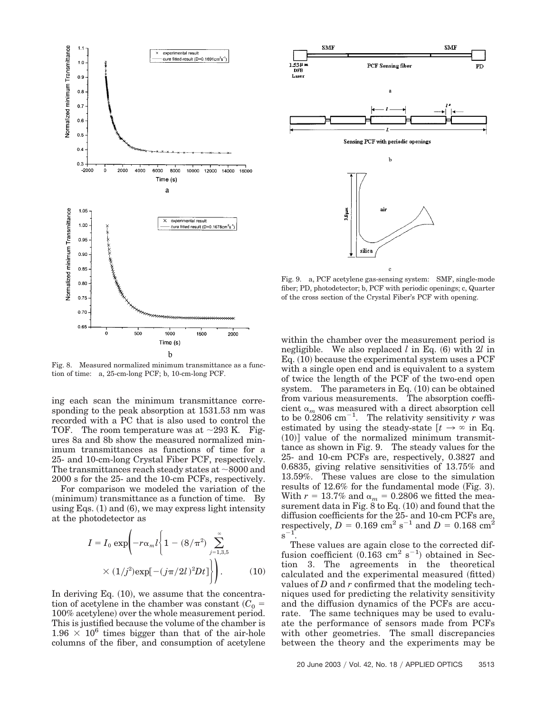

Fig. 8. Measured normalized minimum transmittance as a function of time: a, 25-cm-long PCF; b, 10-cm-long PCF.

ing each scan the minimum transmittance corresponding to the peak absorption at 1531.53 nm was recorded with a PC that is also used to control the TOF. The room temperature was at  $\sim$ 293 K. Figures 8a and 8b show the measured normalized minimum transmittances as functions of time for a 25- and 10-cm-long Crystal Fiber PCF, respectively. The transmittances reach steady states at  $\sim$ 8000 and 2000 s for the 25- and the 10-cm PCFs, respectively.

For comparison we modeled the variation of the (minimum) transmittance as a function of time. By using Eqs.  $(1)$  and  $(6)$ , we may express light intensity at the photodetector as

$$
I = I_0 \exp\left(-r\alpha_m l \left\{1 - (8/\pi^2) \sum_{j=1,3,5}^{\infty} \right.\right.
$$
  
 
$$
\times (1/j^2) \exp[-(j\pi/2l)^2 Dt] \Bigg\} \Bigg).
$$
 (10)

In deriving Eq.  $(10)$ , we assume that the concentration of acetylene in the chamber was constant  $(C_0 =$ 100% acetylene) over the whole measurement period. This is justified because the volume of the chamber is 1.96  $\times$  10<sup>6</sup> times bigger than that of the air-hole columns of the fiber, and consumption of acetylene



Fig. 9. a, PCF acetylene gas-sensing system: SMF, single-mode fiber; PD, photodetector; b, PCF with periodic openings; c, Quarter of the cross section of the Crystal Fiber's PCF with opening.

within the chamber over the measurement period is negligible. We also replaced *l* in Eq. (6) with 2*l* in Eq.  $(10)$  because the experimental system uses a PCF with a single open end and is equivalent to a system of twice the length of the PCF of the two-end open system. The parameters in Eq.  $(10)$  can be obtained from various measurements. The absorption coefficient  $\alpha_m$  was measured with a direct absorption cell to be  $0.2806 \text{ cm}^{-1}$ . The relativity sensitivity *r* was estimated by using the steady-state  $[t \rightarrow \infty]$  in Eq.  $(10)$ ] value of the normalized minimum transmittance as shown in Fig. 9. The steady values for the 25- and 10-cm PCFs are, respectively, 0.3827 and 0.6835, giving relative sensitivities of 13.75% and 13.59%. These values are close to the simulation results of  $12.6\%$  for the fundamental mode (Fig. 3). With  $r = 13.7\%$  and  $\alpha_m = 0.2806$  we fitted the measurement data in Fig. 8 to Eq.  $(10)$  and found that the diffusion coefficients for the 25- and 10-cm PCFs are, respectively,  $D = 0.169$  cm<sup>2</sup> s<sup>-1</sup> and  $D = 0.168$  cm<sup>2</sup>  $\rm s^{-1}$ .

These values are again close to the corrected diffusion coefficient  $(0.163 \text{ cm}^2 \text{ s}^{-1})$  obtained in Section 3. The agreements in the theoretical calculated and the experimental measured (fitted) values of *D* and *r* confirmed that the modeling techniques used for predicting the relativity sensitivity and the diffusion dynamics of the PCFs are accurate. The same techniques may be used to evaluate the performance of sensors made from PCFs with other geometries. The small discrepancies between the theory and the experiments may be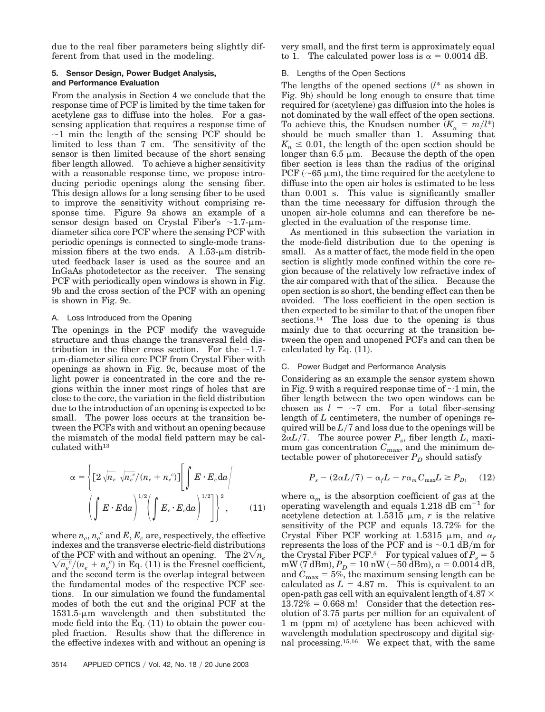due to the real fiber parameters being slightly different from that used in the modeling.

# **5. Sensor Design, Power Budget Analysis, and Performance Evaluation**

From the analysis in Section 4 we conclude that the response time of PCF is limited by the time taken for acetylene gas to diffuse into the holes. For a gassensing application that requires a response time of  $\sim$ 1 min the length of the sensing PCF should be limited to less than 7 cm. The sensitivity of the sensor is then limited because of the short sensing fiber length allowed. To achieve a higher sensitivity with a reasonable response time, we propose introducing periodic openings along the sensing fiber. This design allows for a long sensing fiber to be used to improve the sensitivity without comprising response time. Figure 9a shows an example of a sensor design based on Crystal Fiber's  $\sim$ 1.7- $\mu$ mdiameter silica core PCF where the sensing PCF with periodic openings is connected to single-mode transmission fibers at the two ends. A  $1.53$ - $\mu$ m distributed feedback laser is used as the source and an InGaAs photodetector as the receiver. The sensing PCF with periodically open windows is shown in Fig. 9b and the cross section of the PCF with an opening is shown in Fig. 9c.

# A. Loss Introduced from the Opening

The openings in the PCF modify the waveguide structure and thus change the transversal field distribution in the fiber cross section. For the  $\sim$ 1.7m-diameter silica core PCF from Crystal Fiber with openings as shown in Fig. 9c, because most of the light power is concentrated in the core and the regions within the inner most rings of holes that are close to the core, the variation in the field distribution due to the introduction of an opening is expected to be small. The power loss occurs at the transition between the PCFs with and without an opening because the mismatch of the modal field pattern may be calculated with<sup>13</sup>

$$
\alpha = \left\{ \left[ 2\sqrt{n_e} \sqrt{n_e^c} / (n_e + n_e^c) \right] \left[ \int E \cdot E_c \, \mathrm{d}a \right] \right\}
$$

$$
\left( \int E \cdot E \, \mathrm{d}a \right)^{1/2} \left( \int E_c \cdot E_c \, \mathrm{d}a \right)^{1/2} \left[ \int^2 \right], \qquad (11)
$$

where  $n_e$ ,  $n_e^c$  and  $E$ ,  $E_c$  are, respectively, the effective indexes and the transverse electric-field distributions of the PCF with and without an opening. The  $2\sqrt{n_e}$  $\sqrt{n_e^c}/(n_e + n_e^c)$  in Eq. (11) is the Fresnel coefficient, and the second term is the overlap integral between the fundamental modes of the respective PCF sections. In our simulation we found the fundamental modes of both the cut and the original PCF at the  $1531.5\text{-}\mu\text{m}$  wavelength and then substituted the mode field into the Eq.  $(11)$  to obtain the power coupled fraction. Results show that the difference in the effective indexes with and without an opening is

very small, and the first term is approximately equal to 1. The calculated power loss is  $\alpha = 0.0014$  dB.

## B. Lengths of the Open Sections

The lengths of the opened sections *l*\* as shown in Fig. 9b) should be long enough to ensure that time required for (acetylene) gas diffusion into the holes is not dominated by the wall effect of the open sections. To achieve this, the Knudsen number  $(K_n = m/l^*)$ should be much smaller than 1. Assuming that  $K_n \leq 0.01$ , the length of the open section should be longer than  $6.5 \mu m$ . Because the depth of the open fiber section is less than the radius of the original PCF ( $\sim$ 65  $\mu$ m), the time required for the acetylene to diffuse into the open air holes is estimated to be less than 0.001 s. This value is significantly smaller than the time necessary for diffusion through the unopen air-hole columns and can therefore be neglected in the evaluation of the response time.

As mentioned in this subsection the variation in the mode-field distribution due to the opening is small. As a matter of fact, the mode field in the open section is slightly mode confined within the core region because of the relatively low refractive index of the air compared with that of the silica. Because the open section is so short, the bending effect can then be avoided. The loss coefficient in the open section is then expected to be similar to that of the unopen fiber sections.14 The loss due to the opening is thus mainly due to that occurring at the transition between the open and unopened PCFs and can then be calculated by Eq.  $(11)$ .

# C. Power Budget and Performance Analysis

Considering as an example the sensor system shown in Fig. 9 with a required response time of  $\sim$  1 min, the fiber length between the two open windows can be chosen as  $l = \sim 7$  cm. For a total fiber-sensing length of *L* centimeters, the number of openings required will be  $L/7$  and loss due to the openings will be  $2\alpha L/7$ . The source power  $P_s$ , fiber length *L*, maximum gas concentration  $C_{\text{max}}$ , and the minimum detectable power of photoreceiver  $P_D$  should satisfy

$$
P_s - (2\alpha L/7) - \alpha_f L - r\alpha_m C_{\text{max}} L \ge P_D, \quad (12)
$$

where  $\alpha_m$  is the absorption coefficient of gas at the operating wavelength and equals 1.218  $\text{d}\overline{\text{B}}$  cm<sup>-1</sup> for acetylene detection at 1.5315  $\mu$ m, *r* is the relative sensitivity of the PCF and equals 13.72% for the Crystal Fiber PCF working at 1.5315  $\mu$ m, and  $\alpha_f$ represents the loss of the PCF and is  $\sim 0.1$  dB/m for the Crystal Fiber PCF.<sup>5</sup> For typical values of  $P_s = 5$  $\rm{mW}$  (7 dBm),  $P_D = 10 \ \rm{nW}$  ( $-50 \ \rm{dBm}$ ),  $\alpha = 0.0014 \ \rm{dB},$ and  $C_{\text{max}} = 5\%$ , the maximum sensing length can be calculated as  $L = 4.87$  m. This is equivalent to an open-path gas cell with an equivalent length of  $4.87 \times$  $13.72\% = 0.668$  m! Consider that the detection resolution of 3.75 parts per million for an equivalent of 1 m (ppm m) of acetylene has been achieved with wavelength modulation spectroscopy and digital signal processing.15,16 We expect that, with the same